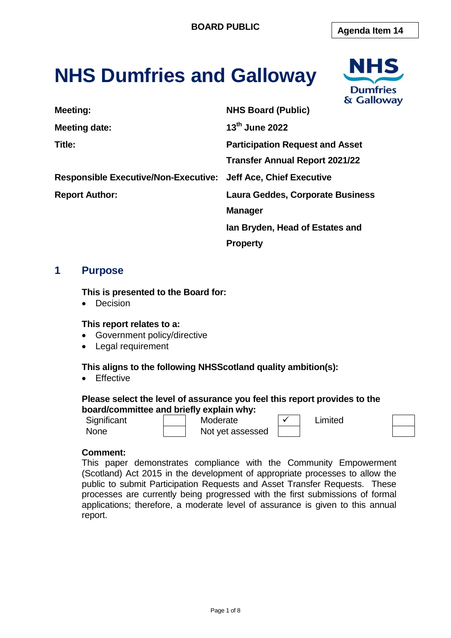# **NHS Dumfries and Galloway**



| Meeting:                                                       | <b>NHS Board (Public)</b>               |
|----------------------------------------------------------------|-----------------------------------------|
| <b>Meeting date:</b>                                           | $13th$ June 2022                        |
| Title:                                                         | <b>Participation Request and Asset</b>  |
|                                                                | <b>Transfer Annual Report 2021/22</b>   |
| Responsible Executive/Non-Executive: Jeff Ace, Chief Executive |                                         |
| <b>Report Author:</b>                                          | <b>Laura Geddes, Corporate Business</b> |
|                                                                | <b>Manager</b>                          |
|                                                                | lan Bryden, Head of Estates and         |
|                                                                |                                         |

**Property** 

# **1 Purpose**

#### **This is presented to the Board for:**

• Decision

#### **This report relates to a:**

- Government policy/directive
- Legal requirement

# **This aligns to the following NHSScotland quality ambition(s):**

**•** Effective

#### **Please select the level of assurance you feel this report provides to the board/committee and briefly explain why:**

Significant 1 Moderate  $\vert \checkmark \vert$  Limited None **Not** yet assessed

# **Comment:**

This paper demonstrates compliance with the Community Empowerment (Scotland) Act 2015 in the development of appropriate processes to allow the public to submit Participation Requests and Asset Transfer Requests. These processes are currently being progressed with the first submissions of formal applications; therefore, a moderate level of assurance is given to this annual report.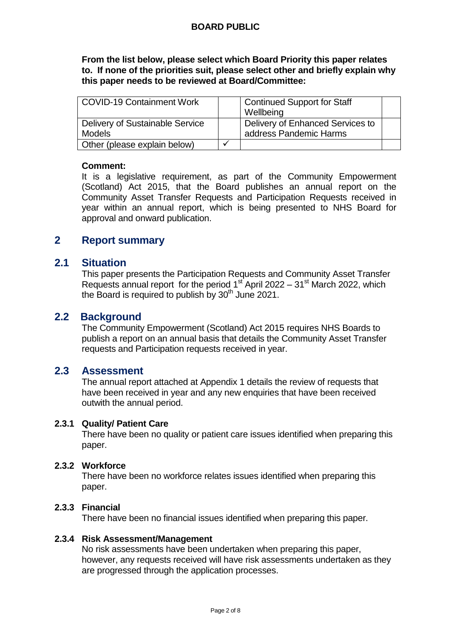**From the list below, please select which Board Priority this paper relates to. If none of the priorities suit, please select other and briefly explain why this paper needs to be reviewed at Board/Committee:**

| <b>COVID-19 Containment Work</b> | <b>Continued Support for Staff</b> |  |
|----------------------------------|------------------------------------|--|
|                                  | Wellbeing                          |  |
| Delivery of Sustainable Service  | Delivery of Enhanced Services to   |  |
| <b>Models</b>                    | address Pandemic Harms             |  |
| Other (please explain below)     |                                    |  |

#### **Comment:**

It is a legislative requirement, as part of the Community Empowerment (Scotland) Act 2015, that the Board publishes an annual report on the Community Asset Transfer Requests and Participation Requests received in year within an annual report, which is being presented to NHS Board for approval and onward publication.

# **2 Report summary**

# **2.1 Situation**

This paper presents the Participation Requests and Community Asset Transfer Requests annual report for the period  $1<sup>st</sup>$  April 2022 –  $31<sup>st</sup>$  March 2022, which the Board is required to publish by  $30<sup>th</sup>$  June 2021.

# **2.2 Background**

The Community Empowerment (Scotland) Act 2015 requires NHS Boards to publish a report on an annual basis that details the Community Asset Transfer requests and Participation requests received in year.

# **2.3 Assessment**

The annual report attached at Appendix 1 details the review of requests that have been received in year and any new enquiries that have been received outwith the annual period.

#### **2.3.1 Quality/ Patient Care**

There have been no quality or patient care issues identified when preparing this paper.

# **2.3.2 Workforce**

There have been no workforce relates issues identified when preparing this paper.

# **2.3.3 Financial**

There have been no financial issues identified when preparing this paper.

#### **2.3.4 Risk Assessment/Management**

No risk assessments have been undertaken when preparing this paper, however, any requests received will have risk assessments undertaken as they are progressed through the application processes.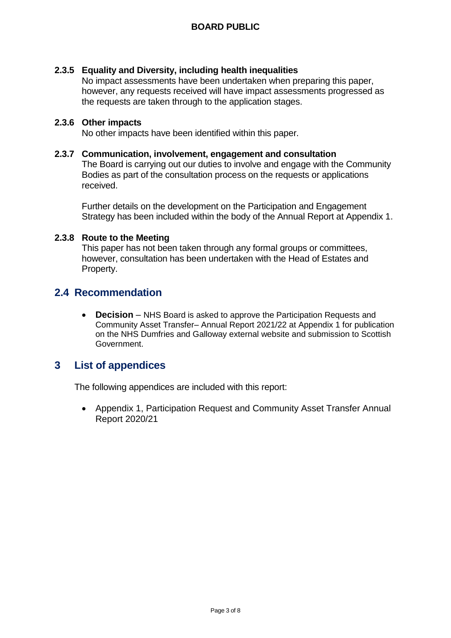# **2.3.5 Equality and Diversity, including health inequalities**

No impact assessments have been undertaken when preparing this paper, however, any requests received will have impact assessments progressed as the requests are taken through to the application stages.

#### **2.3.6 Other impacts**

No other impacts have been identified within this paper.

#### **2.3.7 Communication, involvement, engagement and consultation**

The Board is carrying out our duties to involve and engage with the Community Bodies as part of the consultation process on the requests or applications received.

Further details on the development on the Participation and Engagement Strategy has been included within the body of the Annual Report at Appendix 1.

#### **2.3.8 Route to the Meeting**

This paper has not been taken through any formal groups or committees, however, consultation has been undertaken with the Head of Estates and Property.

# **2.4 Recommendation**

 **Decision** – NHS Board is asked to approve the Participation Requests and Community Asset Transfer– Annual Report 2021/22 at Appendix 1 for publication on the NHS Dumfries and Galloway external website and submission to Scottish Government.

# **3 List of appendices**

The following appendices are included with this report:

 Appendix 1, Participation Request and Community Asset Transfer Annual Report 2020/21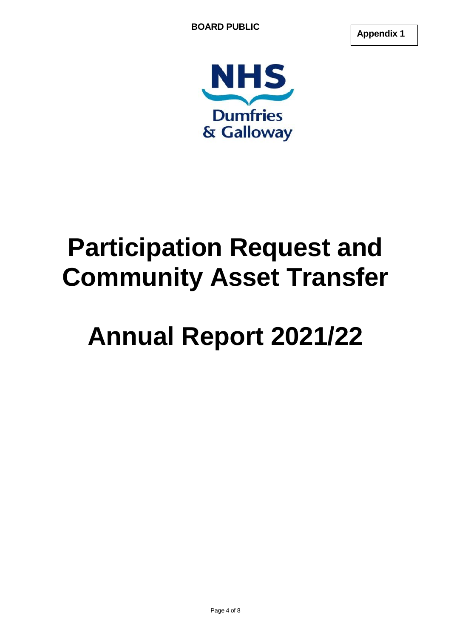**Appendix 1**



# **Participation Request and Community Asset Transfer**

# **Annual Report 2021/22**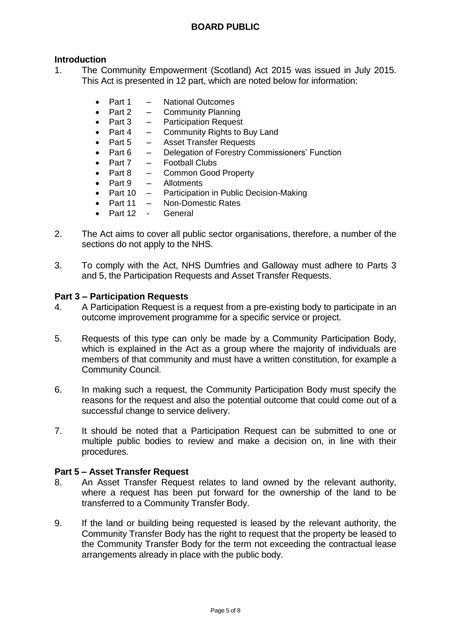# **Introduction**

- 1. The Community Empowerment (Scotland) Act 2015 was issued in July 2015. This Act is presented in 12 part, which are noted below for information:
	- Part 1 National Outcomes
	- Part  $2 -$  Community Planning
	- Part 3 Participation Request
	- Part 4 Community Rights to Buy Land
	- Part 5 Asset Transfer Requests
	- Part 6 Delegation of Forestry Commissioners' Function
	- Part 7 Football Clubs
	- Part 8 Common Good Property
	- Part 9 Allotments
	- Part 10 Participation in Public Decision-Making
	- Part 11 Non-Domestic Rates
	- Part 12 General
- 2. The Act aims to cover all public sector organisations, therefore, a number of the sections do not apply to the NHS.
- 3. To comply with the Act, NHS Dumfries and Galloway must adhere to Parts 3 and 5, the Participation Requests and Asset Transfer Requests.

#### **Part 3 – Participation Requests**

- 4. A Participation Request is a request from a pre-existing body to participate in an outcome improvement programme for a specific service or project.
- 5. Requests of this type can only be made by a Community Participation Body, which is explained in the Act as a group where the majority of individuals are members of that community and must have a written constitution, for example a Community Council.
- 6. In making such a request, the Community Participation Body must specify the reasons for the request and also the potential outcome that could come out of a successful change to service delivery.
- 7. It should be noted that a Participation Request can be submitted to one or multiple public bodies to review and make a decision on, in line with their procedures.

#### **Part 5 – Asset Transfer Request**

- 8. An Asset Transfer Request relates to land owned by the relevant authority, where a request has been put forward for the ownership of the land to be transferred to a Community Transfer Body.
- 9. If the land or building being requested is leased by the relevant authority, the Community Transfer Body has the right to request that the property be leased to the Community Transfer Body for the term not exceeding the contractual lease arrangements already in place with the public body.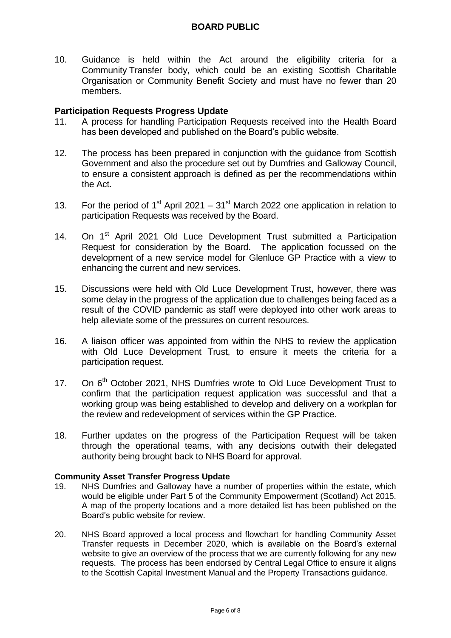10. Guidance is held within the Act around the eligibility criteria for a Community Transfer body, which could be an existing Scottish Charitable Organisation or Community Benefit Society and must have no fewer than 20 members.

### **Participation Requests Progress Update**

- 11. A process for handling Participation Requests received into the Health Board has been developed and published on the Board's public website.
- 12. The process has been prepared in conjunction with the guidance from Scottish Government and also the procedure set out by Dumfries and Galloway Council, to ensure a consistent approach is defined as per the recommendations within the Act.
- 13. For the period of 1<sup>st</sup> April 2021 31<sup>st</sup> March 2022 one application in relation to participation Requests was received by the Board.
- 14. On 1<sup>st</sup> April 2021 Old Luce Development Trust submitted a Participation Request for consideration by the Board. The application focussed on the development of a new service model for Glenluce GP Practice with a view to enhancing the current and new services.
- 15. Discussions were held with Old Luce Development Trust, however, there was some delay in the progress of the application due to challenges being faced as a result of the COVID pandemic as staff were deployed into other work areas to help alleviate some of the pressures on current resources.
- 16. A liaison officer was appointed from within the NHS to review the application with Old Luce Development Trust, to ensure it meets the criteria for a participation request.
- 17. On 6<sup>th</sup> October 2021, NHS Dumfries wrote to Old Luce Development Trust to confirm that the participation request application was successful and that a working group was being established to develop and delivery on a workplan for the review and redevelopment of services within the GP Practice.
- 18. Further updates on the progress of the Participation Request will be taken through the operational teams, with any decisions outwith their delegated authority being brought back to NHS Board for approval.

#### **Community Asset Transfer Progress Update**

- 19. NHS Dumfries and Galloway have a number of properties within the estate, which would be eligible under Part 5 of the Community Empowerment (Scotland) Act 2015. A map of the property locations and a more detailed list has been published on the Board's public website for review.
- 20. NHS Board approved a local process and flowchart for handling Community Asset Transfer requests in December 2020, which is available on the Board's external website to give an overview of the process that we are currently following for any new requests. The process has been endorsed by Central Legal Office to ensure it aligns to the Scottish Capital Investment Manual and the Property Transactions guidance.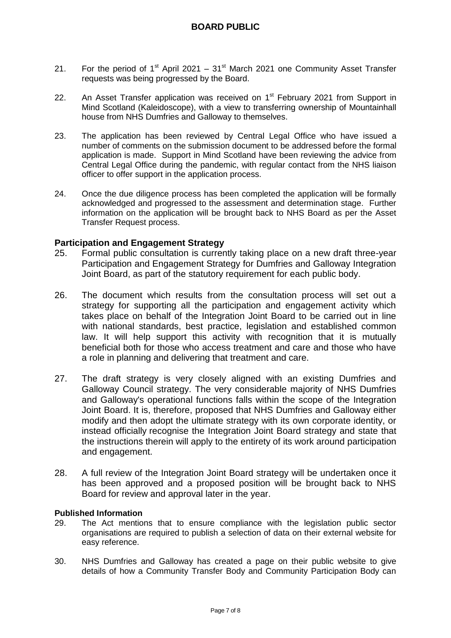- 21. For the period of  $1<sup>st</sup>$  April 2021  $31<sup>st</sup>$  March 2021 one Community Asset Transfer requests was being progressed by the Board.
- 22. An Asset Transfer application was received on  $1<sup>st</sup>$  February 2021 from Support in Mind Scotland (Kaleidoscope), with a view to transferring ownership of Mountainhall house from NHS Dumfries and Galloway to themselves.
- 23. The application has been reviewed by Central Legal Office who have issued a number of comments on the submission document to be addressed before the formal application is made. Support in Mind Scotland have been reviewing the advice from Central Legal Office during the pandemic, with regular contact from the NHS liaison officer to offer support in the application process.
- 24. Once the due diligence process has been completed the application will be formally acknowledged and progressed to the assessment and determination stage. Further information on the application will be brought back to NHS Board as per the Asset Transfer Request process.

#### **Participation and Engagement Strategy**

- 25. Formal public consultation is currently taking place on a new draft three-year Participation and Engagement Strategy for Dumfries and Galloway Integration Joint Board, as part of the statutory requirement for each public body.
- 26. The document which results from the consultation process will set out a strategy for supporting all the participation and engagement activity which takes place on behalf of the Integration Joint Board to be carried out in line with national standards, best practice, legislation and established common law. It will help support this activity with recognition that it is mutually beneficial both for those who access treatment and care and those who have a role in planning and delivering that treatment and care.
- 27. The draft strategy is very closely aligned with an existing Dumfries and Galloway Council strategy. The very considerable majority of NHS Dumfries and Galloway's operational functions falls within the scope of the Integration Joint Board. It is, therefore, proposed that NHS Dumfries and Galloway either modify and then adopt the ultimate strategy with its own corporate identity, or instead officially recognise the Integration Joint Board strategy and state that the instructions therein will apply to the entirety of its work around participation and engagement.
- 28. A full review of the Integration Joint Board strategy will be undertaken once it has been approved and a proposed position will be brought back to NHS Board for review and approval later in the year.

#### **Published Information**

- 29. The Act mentions that to ensure compliance with the legislation public sector organisations are required to publish a selection of data on their external website for easy reference.
- 30. NHS Dumfries and Galloway has created a page on their public website to give details of how a Community Transfer Body and Community Participation Body can